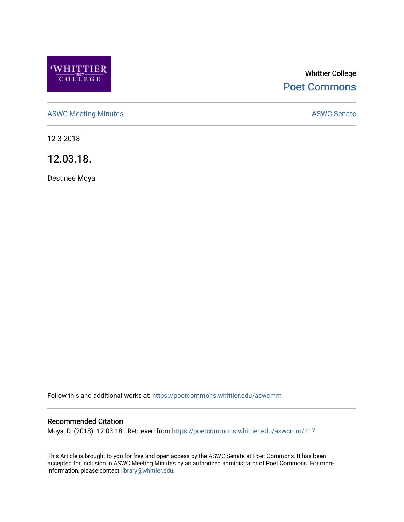

# Whittier College [Poet Commons](https://poetcommons.whittier.edu/)

[ASWC Meeting Minutes](https://poetcommons.whittier.edu/aswcmm) **ASWC Senate** 

12-3-2018

12.03.18.

Destinee Moya

Follow this and additional works at: [https://poetcommons.whittier.edu/aswcmm](https://poetcommons.whittier.edu/aswcmm?utm_source=poetcommons.whittier.edu%2Faswcmm%2F117&utm_medium=PDF&utm_campaign=PDFCoverPages)

### Recommended Citation

Moya, D. (2018). 12.03.18.. Retrieved from [https://poetcommons.whittier.edu/aswcmm/117](https://poetcommons.whittier.edu/aswcmm/117?utm_source=poetcommons.whittier.edu%2Faswcmm%2F117&utm_medium=PDF&utm_campaign=PDFCoverPages)

This Article is brought to you for free and open access by the ASWC Senate at Poet Commons. It has been accepted for inclusion in ASWC Meeting Minutes by an authorized administrator of Poet Commons. For more information, please contact [library@whittier.edu.](mailto:library@whittier.edu)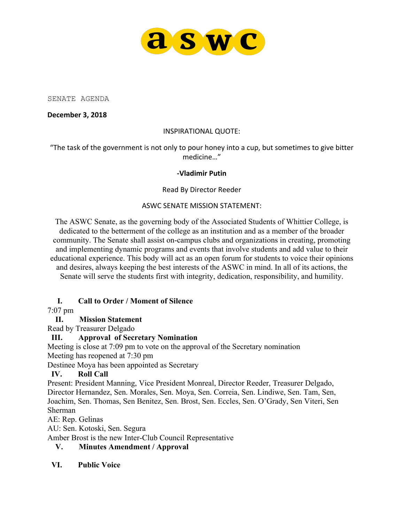

SENATE AGENDA

**December 3, 2018**

### INSPIRATIONAL QUOTE:

"The task of the government is not only to pour honey into a cup, but sometimes to give bitter medicine…"

#### **-Vladimir Putin**

### Read By Director Reeder

#### ASWC SENATE MISSION STATEMENT:

The ASWC Senate, as the governing body of the Associated Students of Whittier College, is dedicated to the betterment of the college as an institution and as a member of the broader community. The Senate shall assist on-campus clubs and organizations in creating, promoting and implementing dynamic programs and events that involve students and add value to their educational experience. This body will act as an open forum for students to voice their opinions and desires, always keeping the best interests of the ASWC in mind. In all of its actions, the Senate will serve the students first with integrity, dedication, responsibility, and humility.

### **I. Call to Order / Moment of Silence**

7:07 pm

### **II. Mission Statement**

Read by Treasurer Delgado

# **III. Approval of Secretary Nomination**

Meeting is close at 7:09 pm to vote on the approval of the Secretary nomination Meeting has reopened at 7:30 pm

Destinee Moya has been appointed as Secretary

### **IV. Roll Call**

Present: President Manning, Vice President Monreal, Director Reeder, Treasurer Delgado, Director Hernandez, Sen. Morales, Sen. Moya, Sen. Correia, Sen. Lindiwe, Sen. Tam, Sen, Joachim, Sen. Thomas, Sen Benitez, Sen. Brost, Sen. Eccles, Sen. O'Grady, Sen Viteri, Sen Sherman

AE: Rep. Gelinas

AU: Sen. Kotoski, Sen. Segura

Amber Brost is the new Inter-Club Council Representative

### **V. Minutes Amendment / Approval**

### **VI. Public Voice**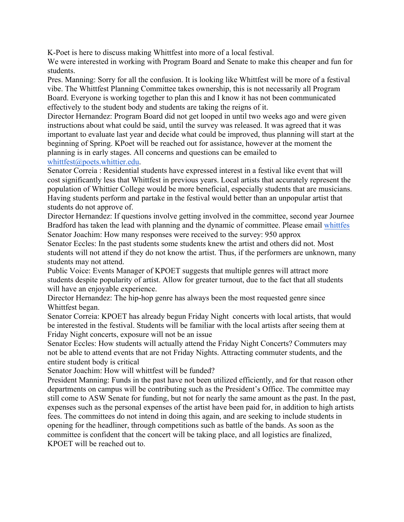K-Poet is here to discuss making Whittfest into more of a local festival.

We were interested in working with Program Board and Senate to make this cheaper and fun for students.

Pres. Manning: Sorry for all the confusion. It is looking like Whittfest will be more of a festival vibe. The Whittfest Planning Committee takes ownership, this is not necessarily all Program Board. Everyone is working together to plan this and I know it has not been communicated effectively to the student body and students are taking the reigns of it.

Director Hernandez: Program Board did not get looped in until two weeks ago and were given instructions about what could be said, until the survey was released. It was agreed that it was important to evaluate last year and decide what could be improved, thus planning will start at the beginning of Spring. KPoet will be reached out for assistance, however at the moment the planning is in early stages. All concerns and questions can be emailed to whittfest@poets.whittier.edu.

Senator Correia : Residential students have expressed interest in a festival like event that will cost significantly less that Whittfest in previous years. Local artists that accurately represent the population of Whittier College would be more beneficial, especially students that are musicians. Having students perform and partake in the festival would better than an unpopular artist that students do not approve of.

Director Hernandez: If questions involve getting involved in the committee, second year Journee Bradford has taken the lead with planning and the dynamic of committee. Please email whittfes Senator Joachim: How many responses were received to the survey: 950 approx

Senator Eccles: In the past students some students knew the artist and others did not. Most students will not attend if they do not know the artist. Thus, if the performers are unknown, many students may not attend.

Public Voice: Events Manager of KPOET suggests that multiple genres will attract more students despite popularity of artist. Allow for greater turnout, due to the fact that all students will have an enjoyable experience.

Director Hernandez: The hip-hop genre has always been the most requested genre since Whittfest began.

Senator Correia: KPOET has already begun Friday Night concerts with local artists, that would be interested in the festival. Students will be familiar with the local artists after seeing them at Friday Night concerts, exposure will not be an issue

Senator Eccles: How students will actually attend the Friday Night Concerts? Commuters may not be able to attend events that are not Friday Nights. Attracting commuter students, and the entire student body is critical

Senator Joachim: How will whittfest will be funded?

President Manning: Funds in the past have not been utilized efficiently, and for that reason other departments on campus will be contributing such as the President's Office. The committee may still come to ASW Senate for funding, but not for nearly the same amount as the past. In the past, expenses such as the personal expenses of the artist have been paid for, in addition to high artists fees. The committees do not intend in doing this again, and are seeking to include students in opening for the headliner, through competitions such as battle of the bands. As soon as the committee is confident that the concert will be taking place, and all logistics are finalized, KPOET will be reached out to.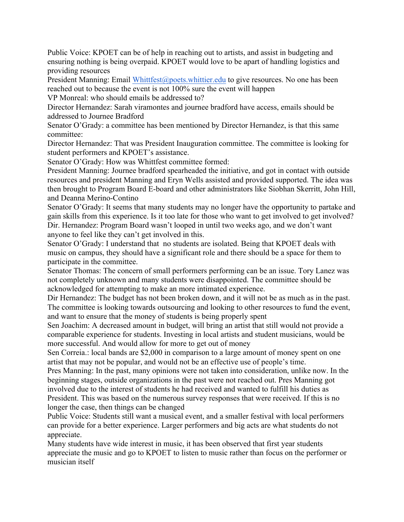Public Voice: KPOET can be of help in reaching out to artists, and assist in budgeting and ensuring nothing is being overpaid. KPOET would love to be apart of handling logistics and providing resources

President Manning: Email Whittfest@poets.whittier.edu to give resources. No one has been reached out to because the event is not 100% sure the event will happen

VP Monreal: who should emails be addressed to?

Director Hernandez: Sarah viramontes and journee bradford have access, emails should be addressed to Journee Bradford

Senator O'Grady: a committee has been mentioned by Director Hernandez, is that this same committee:

Director Hernandez: That was President Inauguration committee. The committee is looking for student performers and KPOET's assistance.

Senator O'Grady: How was Whittfest committee formed:

President Manning: Journee bradford spearheaded the initiative, and got in contact with outside resources and president Manning and Eryn Wells assisted and provided supported. The idea was then brought to Program Board E-board and other administrators like Siobhan Skerritt, John Hill, and Deanna Merino-Contino

Senator O'Grady: It seems that many students may no longer have the opportunity to partake and gain skills from this experience. Is it too late for those who want to get involved to get involved? Dir. Hernandez: Program Board wasn't looped in until two weeks ago, and we don't want anyone to feel like they can't get involved in this.

Senator O'Grady: I understand that no students are isolated. Being that KPOET deals with music on campus, they should have a significant role and there should be a space for them to participate in the committee.

Senator Thomas: The concern of small performers performing can be an issue. Tory Lanez was not completely unknown and many students were disappointed. The committee should be acknowledged for attempting to make an more intimated experience.

Dir Hernandez: The budget has not been broken down, and it will not be as much as in the past. The committee is looking towards outsourcing and looking to other resources to fund the event, and want to ensure that the money of students is being properly spent

Sen Joachim: A decreased amount in budget, will bring an artist that still would not provide a comparable experience for students. Investing in local artists and student musicians, would be more successful. And would allow for more to get out of money

Sen Correia.: local bands are \$2,000 in comparison to a large amount of money spent on one artist that may not be popular, and would not be an effective use of people's time.

Pres Manning: In the past, many opinions were not taken into consideration, unlike now. In the beginning stages, outside organizations in the past were not reached out. Pres Manning got involved due to the interest of students he had received and wanted to fulfill his duties as President. This was based on the numerous survey responses that were received. If this is no longer the case, then things can be changed

Public Voice: Students still want a musical event, and a smaller festival with local performers can provide for a better experience. Larger performers and big acts are what students do not appreciate.

Many students have wide interest in music, it has been observed that first year students appreciate the music and go to KPOET to listen to music rather than focus on the performer or musician itself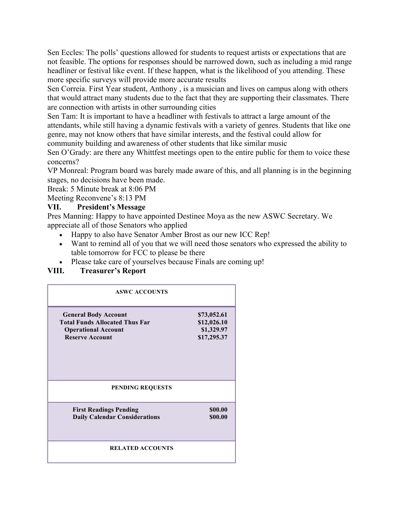Sen Eccles: The polls' questions allowed for students to request artists or expectations that are not feasible. The options for responses should be narrowed down, such as including a mid range headliner or festival like event. If these happen, what is the likelihood of you attending. These more specific surveys will provide more accurate results

Sen Correia. First Year student, Anthony , is a musician and lives on campus along with others that would attract many students due to the fact that they are supporting their classmates. There are connection with artists in other surrounding cities

Sen Tam: It is important to have a headliner with festivals to attract a large amount of the attendants, while still having a dynamic festivals with a variety of genres. Students that like one genre, may not know others that have similar interests, and the festival could allow for community building and awareness of other students that like similar music

Sen O'Grady: are there any Whittfest meetings open to the entire public for them to voice these concerns?

VP Monreal: Program board was barely made aware of this, and all planning is in the beginning stages, no decisions have been made.

Break: 5 Minute break at 8:06 PM

Meeting Reconvene's 8:13 PM

### **VII. President's Message**

Pres Manning: Happy to have appointed Destinee Moya as the new ASWC Secretary. We appreciate all of those Senators who applied

- Happy to also have Senator Amber Brost as our new ICC Rep!
- Want to remind all of you that we will need those senators who expressed the ability to table tomorrow for FCC to please be there
- Please take care of yourselves because Finals are coming up!

## **VIII. Treasurer's Report**

| <b>ASWC ACCOUNTS</b>                                                                                                         |                                                         |
|------------------------------------------------------------------------------------------------------------------------------|---------------------------------------------------------|
| <b>General Body Account</b><br><b>Total Funds Allocated Thus Far</b><br><b>Operational Account</b><br><b>Reserve Account</b> | \$73,052.61<br>\$12,026.10<br>\$1,329.97<br>\$17,295.37 |
| <b>PENDING REQUESTS</b>                                                                                                      |                                                         |
| <b>First Readings Pending</b><br><b>Daily Calendar Considerations</b>                                                        | \$00.00<br>\$00.00                                      |
| <b>RELATED ACCOUNTS</b>                                                                                                      |                                                         |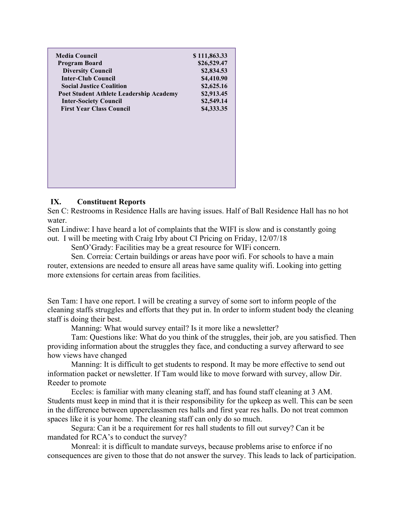| <b>Media Council</b>                    | \$111,863.33 |
|-----------------------------------------|--------------|
| <b>Program Board</b>                    | \$26,529.47  |
| <b>Diversity Council</b>                | \$2,834.53   |
| <b>Inter-Club Council</b>               | \$4,410.90   |
| <b>Social Justice Coalition</b>         | \$2,625.16   |
| Poet Student Athlete Leadership Academy | \$2,913.45   |
| <b>Inter-Society Council</b>            | \$2,549.14   |
| <b>First Year Class Council</b>         | \$4,333.35   |
|                                         |              |
|                                         |              |
|                                         |              |
|                                         |              |
|                                         |              |
|                                         |              |
|                                         |              |
|                                         |              |
|                                         |              |
|                                         |              |

### **IX. Constituent Reports**

Sen C: Restrooms in Residence Halls are having issues. Half of Ball Residence Hall has no hot water.

Sen Lindiwe: I have heard a lot of complaints that the WIFI is slow and is constantly going out. I will be meeting with Craig Irby about CI Pricing on Friday, 12/07/18

SenO'Grady: Facilities may be a great resource for WIFi concern.

Sen. Correia: Certain buildings or areas have poor wifi. For schools to have a main router, extensions are needed to ensure all areas have same quality wifi. Looking into getting more extensions for certain areas from facilities.

Sen Tam: I have one report. I will be creating a survey of some sort to inform people of the cleaning staffs struggles and efforts that they put in. In order to inform student body the cleaning staff is doing their best.

Manning: What would survey entail? Is it more like a newsletter?

Tam: Questions like: What do you think of the struggles, their job, are you satisfied. Then providing information about the struggles they face, and conducting a survey afterward to see how views have changed

Manning: It is difficult to get students to respond. It may be more effective to send out information packet or newsletter. If Tam would like to move forward with survey, allow Dir. Reeder to promote

Eccles: is familiar with many cleaning staff, and has found staff cleaning at 3 AM. Students must keep in mind that it is their responsibility for the upkeep as well. This can be seen in the difference between upperclassmen res halls and first year res halls. Do not treat common spaces like it is your home. The cleaning staff can only do so much.

Segura: Can it be a requirement for res hall students to fill out survey? Can it be mandated for RCA's to conduct the survey?

Monreal: it is difficult to mandate surveys, because problems arise to enforce if no consequences are given to those that do not answer the survey. This leads to lack of participation.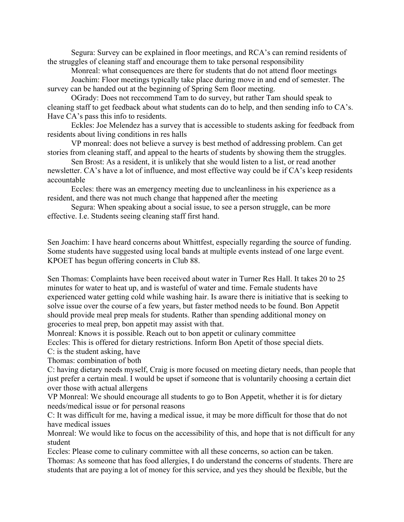Segura: Survey can be explained in floor meetings, and RCA's can remind residents of the struggles of cleaning staff and encourage them to take personal responsibility

Monreal: what consequences are there for students that do not attend floor meetings Joachim: Floor meetings typically take place during move in and end of semester. The

survey can be handed out at the beginning of Spring Sem floor meeting.

OGrady: Does not reccommend Tam to do survey, but rather Tam should speak to cleaning staff to get feedback about what students can do to help, and then sending info to CA's. Have CA's pass this info to residents.

Eckles: Joe Melendez has a survey that is accessible to students asking for feedback from residents about living conditions in res halls

VP monreal: does not believe a survey is best method of addressing problem. Can get stories from cleaning staff, and appeal to the hearts of students by showing them the struggles.

Sen Brost: As a resident, it is unlikely that she would listen to a list, or read another newsletter. CA's have a lot of influence, and most effective way could be if CA's keep residents accountable

Eccles: there was an emergency meeting due to uncleanliness in his experience as a resident, and there was not much change that happened after the meeting

Segura: When speaking about a social issue, to see a person struggle, can be more effective. I.e. Students seeing cleaning staff first hand.

Sen Joachim: I have heard concerns about Whittfest, especially regarding the source of funding. Some students have suggested using local bands at multiple events instead of one large event. KPOET has begun offering concerts in Club 88.

Sen Thomas: Complaints have been received about water in Turner Res Hall. It takes 20 to 25 minutes for water to heat up, and is wasteful of water and time. Female students have experienced water getting cold while washing hair. Is aware there is initiative that is seeking to solve issue over the course of a few years, but faster method needs to be found. Bon Appetit should provide meal prep meals for students. Rather than spending additional money on groceries to meal prep, bon appetit may assist with that.

Monreal: Knows it is possible. Reach out to bon appetit or culinary committee

Eccles: This is offered for dietary restrictions. Inform Bon Apetit of those special diets.

C: is the student asking, have

Thomas: combination of both

C: having dietary needs myself, Craig is more focused on meeting dietary needs, than people that just prefer a certain meal. I would be upset if someone that is voluntarily choosing a certain diet over those with actual allergens

VP Monreal: We should encourage all students to go to Bon Appetit, whether it is for dietary needs/medical issue or for personal reasons

C: It was difficult for me, having a medical issue, it may be more difficult for those that do not have medical issues

Monreal: We would like to focus on the accessibility of this, and hope that is not difficult for any student

Eccles: Please come to culinary committee with all these concerns, so action can be taken.

Thomas: As someone that has food allergies, I do understand the concerns of students. There are students that are paying a lot of money for this service, and yes they should be flexible, but the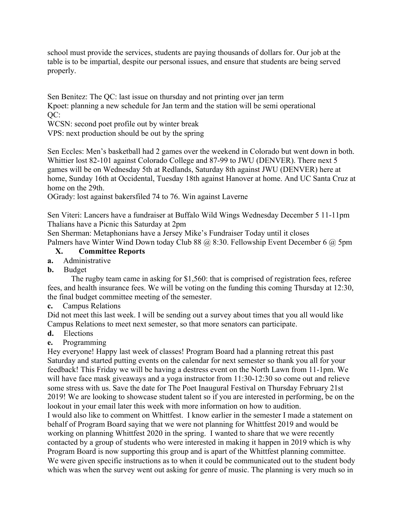school must provide the services, students are paying thousands of dollars for. Our job at the table is to be impartial, despite our personal issues, and ensure that students are being served properly.

Sen Benitez: The QC: last issue on thursday and not printing over jan term Kpoet: planning a new schedule for Jan term and the station will be semi operational QC:

WCSN: second poet profile out by winter break

VPS: next production should be out by the spring

Sen Eccles: Men's basketball had 2 games over the weekend in Colorado but went down in both. Whittier lost 82-101 against Colorado College and 87-99 to JWU (DENVER). There next 5 games will be on Wednesday 5th at Redlands, Saturday 8th against JWU (DENVER) here at home, Sunday 16th at Occidental, Tuesday 18th against Hanover at home. And UC Santa Cruz at home on the 29th.

OGrady: lost against bakersfiled 74 to 76. Win against Laverne

Sen Viteri: Lancers have a fundraiser at Buffalo Wild Wings Wednesday December 5 11-11pm Thalians have a Picnic this Saturday at 2pm

Sen Sherman: Metaphonians have a Jersey Mike's Fundraiser Today until it closes Palmers have Winter Wind Down today Club 88 @ 8:30. Fellowship Event December 6 @ 5pm

### **X. Committee Reports**

- **a.** Administrative
- **b.** Budget

The rugby team came in asking for \$1,560: that is comprised of registration fees, referee fees, and health insurance fees. We will be voting on the funding this coming Thursday at 12:30, the final budget committee meeting of the semester.

**c.** Campus Relations

Did not meet this last week. I will be sending out a survey about times that you all would like Campus Relations to meet next semester, so that more senators can participate.

- **d.** Elections
- **e.** Programming

Hey everyone! Happy last week of classes! Program Board had a planning retreat this past Saturday and started putting events on the calendar for next semester so thank you all for your feedback! This Friday we will be having a destress event on the North Lawn from 11-1pm. We will have face mask giveaways and a yoga instructor from 11:30-12:30 so come out and relieve some stress with us. Save the date for The Poet Inaugural Festival on Thursday February 21st 2019! We are looking to showcase student talent so if you are interested in performing, be on the lookout in your email later this week with more information on how to audition.

I would also like to comment on Whittfest. I know earlier in the semester I made a statement on behalf of Program Board saying that we were not planning for Whittfest 2019 and would be working on planning Whittfest 2020 in the spring. I wanted to share that we were recently contacted by a group of students who were interested in making it happen in 2019 which is why Program Board is now supporting this group and is apart of the Whittfest planning committee. We were given specific instructions as to when it could be communicated out to the student body which was when the survey went out asking for genre of music. The planning is very much so in